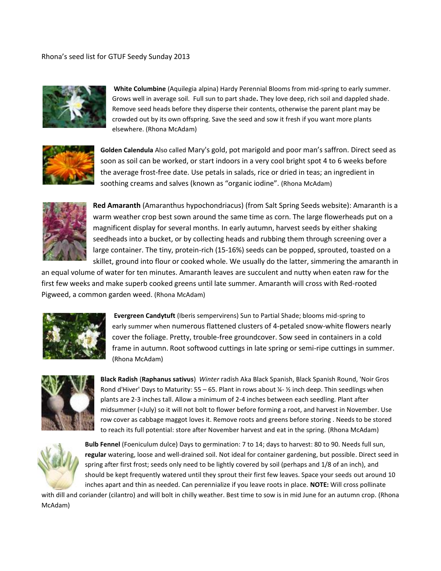Rhona's seed list for GTUF Seedy Sunday 2013



**White Columbine** (Aquilegia alpina) Hardy Perennial Blooms from mid-spring to early summer. Grows well in average soil. Full sun to part shade**.** They love deep, rich soil and dappled shade. Remove seed heads before they disperse their contents, otherwise the parent plant may be crowded out by its own offspring. Save the seed and sow it fresh if you want more plants elsewhere. (Rhona McAdam)



**Golden Calendula** Also called Mary's gold, pot marigold and poor man's saffron. Direct seed as soon as soil can be worked, or start indoors in a very cool bright spot 4 to 6 weeks before the average frost-free date. Use petals in salads, rice or dried in teas; an ingredient in soothing creams and salves (known as "organic iodine". (Rhona McAdam)



**Red Amaranth** (Amaranthus hypochondriacus) (from Salt Spring Seeds website): Amaranth is a warm weather crop best sown around the same time as corn. The large flowerheads put on a magnificent display for several months. In early autumn, harvest seeds by either shaking seedheads into a bucket, or by collecting heads and rubbing them through screening over a large container. The tiny, protein-rich (15-16%) seeds can be popped, sprouted, toasted on a skillet, ground into flour or cooked whole. We usually do the latter, simmering the amaranth in

an equal volume of water for ten minutes. Amaranth leaves are succulent and nutty when eaten raw for the first few weeks and make superb cooked greens until late summer. Amaranth will cross with Red-rooted Pigweed, a common garden weed. (Rhona McAdam)



**Evergreen Candytuft** (Iberis sempervirens) Sun to Partial Shade; blooms mid-spring to early summer when numerous flattened clusters of 4-petaled snow-white flowers nearly cover the foliage. Pretty, trouble-free groundcover. Sow seed in containers in a cold frame in autumn. Root softwood cuttings in late spring or semi-ripe cuttings in summer. (Rhona McAdam)



**Black Radish** (**Raphanus sativus**) *Winter* radish Aka Black Spanish, Black Spanish Round, 'Noir Gros Rond d'Hiver' Days to Maturity: 55 – 65. Plant in rows about ¼- ½ inch deep. Thin seedlings when plants are 2-3 inches tall. Allow a minimum of 2-4 inches between each seedling. Plant after midsummer (=July) so it will not bolt to flower before forming a root, and harvest in November. Use row cover as cabbage maggot loves it. Remove roots and greens before storing . Needs to be stored to reach its full potential: store after November harvest and eat in the spring. (Rhona McAdam)



**Bulb Fennel** (Foeniculum dulce) Days to germination: 7 to 14; days to harvest: 80 to 90. Needs full sun, **regular** watering, loose and well-drained soil. Not ideal for container gardening, but possible. Direct seed in spring after first frost; seeds only need to be lightly covered by soil (perhaps and 1/8 of an inch), and should be kept frequently watered until they sprout their first few leaves. Space your seeds out around 10 inches apart and thin as needed. Can perennialize if you leave roots in place. **NOTE:** Will cross pollinate

with dill and coriander (cilantro) and will bolt in chilly weather. Best time to sow is in mid June for an autumn crop. (Rhona McAdam)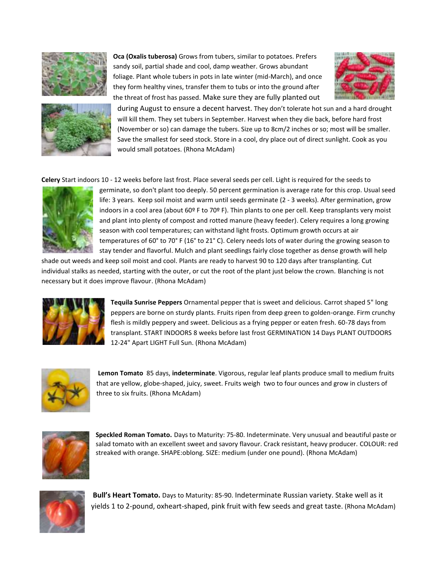







during August to ensure a decent harvest. They don't tolerate hot sun and a hard drought will kill them. They set tubers in September. Harvest when they die back, before hard frost (November or so) can damage the tubers. Size up to 8cm/2 inches or so; most will be smaller. Save the smallest for seed stock. Store in a cool, dry place out of direct sunlight. Cook as you would small potatoes. (Rhona McAdam)

**Celery** Start indoors 10 - 12 weeks before last frost. Place several seeds per cell. Light is required for the seeds to



germinate, so don't plant too deeply. 50 percent germination is average rate for this crop. Usual seed life: 3 years. Keep soil moist and warm until seeds germinate (2 - 3 weeks). After germination, grow indoors in a cool area (about 60º F to 70º F). Thin plants to one per cell. Keep transplants very moist and plant into plenty of compost and rotted manure (heavy feeder). Celery requires a long growing season with cool temperatures; can withstand light frosts. Optimum growth occurs at air temperatures of 60° to 70° F (16° to 21° C). Celery needs lots of water during the growing season to stay tender and flavorful. Mulch and plant seedlings fairly close together as dense growth will help

shade out weeds and keep soil moist and cool. Plants are ready to harvest 90 to 120 days after transplanting. Cut individual stalks as needed, starting with the outer, or cut the root of the plant just below the crown. Blanching is not necessary but it does improve flavour. (Rhona McAdam)



**Tequila Sunrise Peppers** Ornamental pepper that is sweet and delicious. Carrot shaped 5" long peppers are borne on sturdy plants. Fruits ripen from deep green to golden-orange. Firm crunchy flesh is mildly peppery and sweet. Delicious as a frying pepper or eaten fresh. 60-78 days from transplant. START INDOORS 8 weeks before last frost GERMINATION 14 Days PLANT OUTDOORS 12-24" Apart LIGHT Full Sun. (Rhona McAdam)



**Lemon Tomato** 85 days, **indeterminate**. Vigorous, regular leaf plants produce small to medium fruits that are yellow, globe-shaped, juicy, sweet. Fruits weigh two to four ounces and grow in clusters of three to six fruits. (Rhona McAdam)



**Speckled Roman Tomato.** Days to Maturity: 75-80. Indeterminate. Very unusual and beautiful paste or salad tomato with an excellent sweet and savory flavour. Crack resistant, heavy producer. COLOUR: red streaked with orange. SHAPE:oblong. SIZE: medium (under one pound). (Rhona McAdam)



**Bull's Heart Tomato.** Days to Maturity: 85-90. Indeterminate Russian variety. Stake well as it yields 1 to 2-pound, oxheart-shaped, pink fruit with few seeds and great taste. (Rhona McAdam)